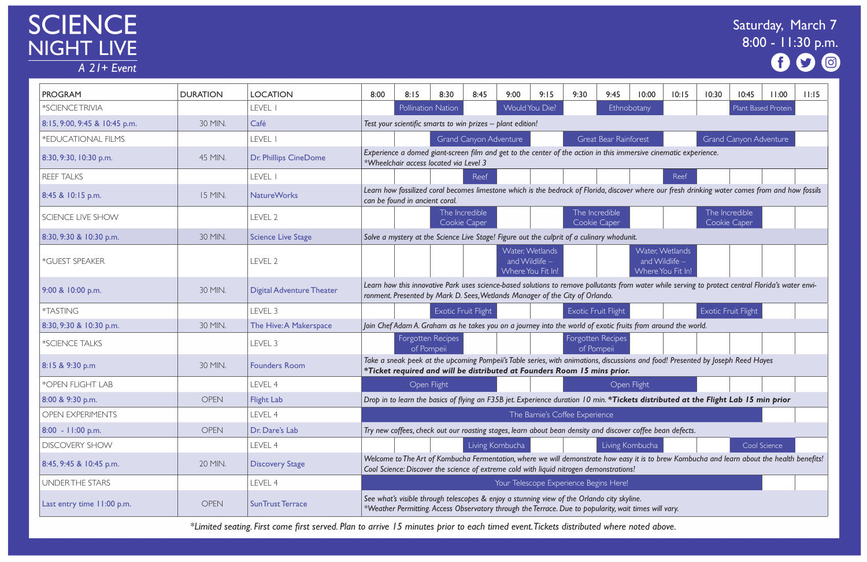# SCIENCE<br>NIGHT LIVE

 $\overline{A}$  21+ Event

| 10:00                                                        | 10:15                                                       | 10:30        | 10:45                         | 11:00               | 11:15 |  |  |  |  |  |  |  |
|--------------------------------------------------------------|-------------------------------------------------------------|--------------|-------------------------------|---------------------|-------|--|--|--|--|--|--|--|
| otany                                                        |                                                             |              |                               | Plant Based Protein |       |  |  |  |  |  |  |  |
|                                                              |                                                             |              |                               |                     |       |  |  |  |  |  |  |  |
| prest                                                        |                                                             |              | <b>Grand Canyon Adventure</b> |                     |       |  |  |  |  |  |  |  |
| rsive cinematic experience.                                  |                                                             |              |                               |                     |       |  |  |  |  |  |  |  |
|                                                              |                                                             |              |                               |                     |       |  |  |  |  |  |  |  |
|                                                              | Reef                                                        |              |                               |                     |       |  |  |  |  |  |  |  |
| where our fresh drinking water comes from and how fossils    |                                                             |              |                               |                     |       |  |  |  |  |  |  |  |
|                                                              | The Incredible                                              |              |                               |                     |       |  |  |  |  |  |  |  |
|                                                              |                                                             | Cookie Caper |                               |                     |       |  |  |  |  |  |  |  |
|                                                              | Water, Wetlands                                             |              |                               |                     |       |  |  |  |  |  |  |  |
| and Wildlife $-$                                             |                                                             |              |                               |                     |       |  |  |  |  |  |  |  |
|                                                              | Where You Fit In!                                           |              |                               |                     |       |  |  |  |  |  |  |  |
| water while serving to protect central Florida's water envi- |                                                             |              |                               |                     |       |  |  |  |  |  |  |  |
|                                                              |                                                             |              | Exotic Fruit Flight           |                     |       |  |  |  |  |  |  |  |
| from around the world.                                       |                                                             |              |                               |                     |       |  |  |  |  |  |  |  |
|                                                              |                                                             |              |                               |                     |       |  |  |  |  |  |  |  |
|                                                              | and food! Presented by Joseph Reed Hayes                    |              |                               |                     |       |  |  |  |  |  |  |  |
|                                                              |                                                             |              |                               |                     |       |  |  |  |  |  |  |  |
| ight <sup>:</sup>                                            |                                                             |              |                               |                     |       |  |  |  |  |  |  |  |
|                                                              | s distributed at the Flight Lab 15 min prior                |              |                               |                     |       |  |  |  |  |  |  |  |
|                                                              |                                                             |              |                               |                     |       |  |  |  |  |  |  |  |
|                                                              | coffee bean defects.                                        |              |                               |                     |       |  |  |  |  |  |  |  |
| nbucha                                                       |                                                             |              |                               | Cool Science        |       |  |  |  |  |  |  |  |
|                                                              | it is to brew Kombucha and learn about the health benefits! |              |                               |                     |       |  |  |  |  |  |  |  |
|                                                              |                                                             |              |                               |                     |       |  |  |  |  |  |  |  |
| ie.                                                          |                                                             |              |                               |                     |       |  |  |  |  |  |  |  |
| imes will vary.                                              |                                                             |              |                               |                     |       |  |  |  |  |  |  |  |
| ated ahove                                                   |                                                             |              |                               |                     |       |  |  |  |  |  |  |  |

| <b>PROGRAM</b>                | <b>DURATION</b> | <b>LOCATION</b>                  | 8:00 | 8:15                                                                         | 8:30 | 8:45                           | 9:00 | 9:15                                                     | 9:30                       | 9:45<br>10:00                                                                                                                                                                                                                          | 10:15                                                    | 10:30 | 10:45                          | 11:00        | 11:15 |
|-------------------------------|-----------------|----------------------------------|------|------------------------------------------------------------------------------|------|--------------------------------|------|----------------------------------------------------------|----------------------------|----------------------------------------------------------------------------------------------------------------------------------------------------------------------------------------------------------------------------------------|----------------------------------------------------------|-------|--------------------------------|--------------|-------|
| *SCIENCE TRIVIA               |                 | LEVEL I                          |      | Pollination Nation                                                           |      |                                |      | Would You Die?                                           |                            | Ethnobotany                                                                                                                                                                                                                            |                                                          |       | Plant Based Protein            |              |       |
| 8:15, 9:00, 9:45 & 10:45 p.m. | 30 MIN.         | Café                             |      | Test your scientific smarts to win prizes - plant edition!                   |      |                                |      |                                                          |                            |                                                                                                                                                                                                                                        |                                                          |       |                                |              |       |
| *EDUCATIONAL FILMS            |                 | LEVEL I                          |      |                                                                              |      | <b>Grand Canyon Adventure</b>  |      |                                                          |                            | Great Bear Rainforest                                                                                                                                                                                                                  |                                                          |       | <b>Grand Canyon Adventure</b>  |              |       |
| 8:30, 9:30, 10:30 p.m.        | 45 MIN.         | <b>Dr. Phillips CineDome</b>     |      | *Wheelchair access located via Level 3                                       |      |                                |      |                                                          |                            | Experience a domed giant-screen film and get to the center of the action in this immersive cinematic experience.                                                                                                                       |                                                          |       |                                |              |       |
| <b>REEF TALKS</b>             |                 | LEVEL I                          |      |                                                                              |      | Reef                           |      |                                                          |                            |                                                                                                                                                                                                                                        | Reef                                                     |       |                                |              |       |
| 8:45 & 10:15 p.m.             | 15 MIN.         | <b>NatureWorks</b>               |      | can be found in ancient coral.                                               |      |                                |      |                                                          |                            | Learn how fossilized coral becomes limestone which is the bedrock of Florida, discover where our fresh drinking water comes from and how fossils                                                                                       |                                                          |       |                                |              |       |
| SCIENCE LIVE SHOW             |                 | LEVEL 2                          |      |                                                                              |      | The Incredible<br>Cookie Caper |      |                                                          |                            | The Incredible<br>Cookie Caper                                                                                                                                                                                                         |                                                          |       | The Incredible<br>Cookie Caper |              |       |
| 8:30, 9:30 & 10:30 p.m.       | 30 MIN.         | <b>Science Live Stage</b>        |      |                                                                              |      |                                |      |                                                          |                            | Solve a mystery at the Science Live Stage! Figure out the culprit of a culinary whodunit.                                                                                                                                              |                                                          |       |                                |              |       |
| *GUEST SPEAKER                |                 | LEVEL 2                          |      |                                                                              |      |                                |      | Water, Wetlands<br>and Wildlife $-$<br>Where You Fit In! |                            |                                                                                                                                                                                                                                        | Water, Wetlands<br>and Wildlife $-$<br>Where You Fit In! |       |                                |              |       |
| 9:00 & 10:00 p.m.             | 30 MIN.         | <b>Digital Adventure Theater</b> |      | ronment. Presented by Mark D. Sees, Wetlands Manager of the City of Orlando. |      |                                |      |                                                          |                            | Learn how this innovative Park uses science-based solutions to remove pollutants from water while serving to protect central Florida's water envi-                                                                                     |                                                          |       |                                |              |       |
| *TASTING                      |                 | LEVEL 3                          |      |                                                                              |      | Exotic Fruit Flight            |      |                                                          | <b>Exotic Fruit Flight</b> |                                                                                                                                                                                                                                        |                                                          |       | <b>Exotic Fruit Flight</b>     |              |       |
| 8:30, 9:30 & 10:30 p.m.       | 30 MIN.         | The Hive: A Makerspace           |      |                                                                              |      |                                |      |                                                          |                            | Join Chef Adam A. Graham as he takes you on a journey into the world of exotic fruits from around the world.                                                                                                                           |                                                          |       |                                |              |       |
| *SCIENCE TALKS                |                 | LEVEL 3                          |      | Forgotten Recipes<br>of Pompeii                                              |      |                                |      |                                                          |                            | Forgotten Recipes<br>of Pompeii                                                                                                                                                                                                        |                                                          |       |                                |              |       |
| 8:15 & 9:30 p.m               | 30 MIN.         | <b>Founders Room</b>             |      | *Ticket required and will be distributed at Founders Room 15 mins prior.     |      |                                |      |                                                          |                            | Take a sneak peek at the upcoming Pompeii's Table series, with animations, discussions and food! Presented by Joseph Reed Hayes                                                                                                        |                                                          |       |                                |              |       |
| *OPEN FLIGHT LAB              |                 | LEVEL 4                          |      | Open Flight                                                                  |      |                                |      |                                                          |                            | Open Flight                                                                                                                                                                                                                            |                                                          |       |                                |              |       |
| 8:00 & 9:30 p.m.              | <b>OPEN</b>     | <b>Flight Lab</b>                |      |                                                                              |      |                                |      |                                                          |                            | Drop in to learn the basics of flying an F35B jet. Experience duration 10 min. *Tickets distributed at the Flight Lab 15 min prior                                                                                                     |                                                          |       |                                |              |       |
| <b>OPEN EXPERIMENTS</b>       |                 | LEVEL 4                          |      |                                                                              |      |                                |      | The Barnie's Coffee Experience                           |                            |                                                                                                                                                                                                                                        |                                                          |       |                                |              |       |
| $8:00 - 11:00$ p.m.           | <b>OPEN</b>     | Dr. Dare's Lab                   |      |                                                                              |      |                                |      |                                                          |                            | Try new coffees, check out our roasting stages, learn about bean density and discover coffee bean defects.                                                                                                                             |                                                          |       |                                |              |       |
| <b>DISCOVERY SHOW</b>         |                 | LEVEL 4                          |      |                                                                              |      | Living Kombucha                |      |                                                          |                            | Living Kombucha                                                                                                                                                                                                                        |                                                          |       |                                | Cool Science |       |
| 8:45, 9:45 & 10:45 p.m.       | 20 MIN.         | <b>Discovery Stage</b>           |      |                                                                              |      |                                |      |                                                          |                            | Welcome to The Art of Kombucha Fermentation, where we will demonstrate how easy it is to brew Kombucha and learn about the health benefits!<br>Cool Science: Discover the science of extreme cold with liquid nitrogen demonstrations! |                                                          |       |                                |              |       |
| <b>UNDER THE STARS</b>        |                 | LEVEL 4                          |      |                                                                              |      |                                |      |                                                          |                            | Your Telescope Experience Begins Here!                                                                                                                                                                                                 |                                                          |       |                                |              |       |
| Last entry time 11:00 p.m.    | <b>OPEN</b>     | <b>SunTrust Terrace</b>          |      |                                                                              |      |                                |      |                                                          |                            | See what's visible through telescopes & enjoy a stunning view of the Orlando city skyline.<br>*Weather Permitting. Access Observatory through the Terrace. Due to popularity, wait times will vary.                                    |                                                          |       |                                |              |       |

# Saturday, March 7 8:00 - 11:30 p.m. 0

*\*Limited seating. First come first served. Plan to arrive 15 minutes prior to each timed event. Tickets distributed where noted above.*